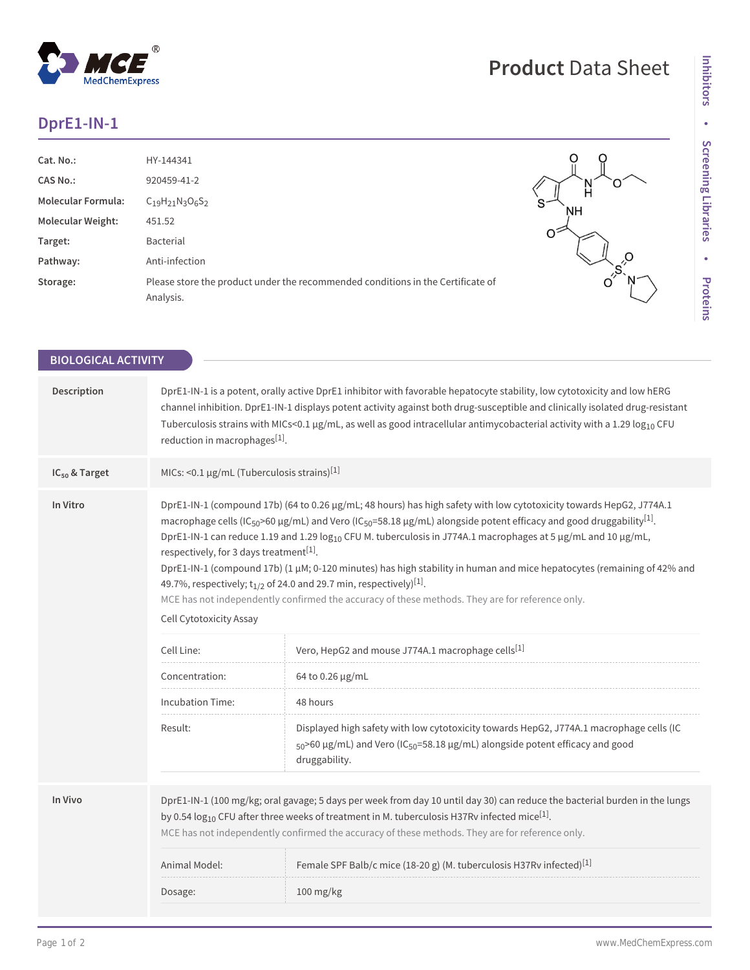## **DprE1-IN-1**

 $^{\circledR}$ 

MedChemExpress

| Cat. No.:                 | HY-144341                                                                       |         |
|---------------------------|---------------------------------------------------------------------------------|---------|
| <b>CAS No.:</b>           | 920459-41-2                                                                     |         |
| <b>Molecular Formula:</b> | $C_{19}H_{21}N_{3}O_{6}S_{2}$                                                   | ົ<br>NΗ |
| <b>Molecular Weight:</b>  | 451.52                                                                          |         |
| Target:                   | Bacterial                                                                       |         |
| Pathway:                  | Anti-infection                                                                  |         |
| Storage:                  | Please store the product under the recommended conditions in the Certificate of | Ő       |
|                           | Analysis.                                                                       |         |
|                           |                                                                                 |         |

**Product** Data Sheet

| <b>BIOLOGICAL ACTIVITY</b> |                                                                                                                                                                                                                                                                                                                                                                                                                                                                                                                                                                                                                                                                                                                                                                                                                                                                                                                                                                                                                                                                                                                                                                                            |                                                                                  |  |
|----------------------------|--------------------------------------------------------------------------------------------------------------------------------------------------------------------------------------------------------------------------------------------------------------------------------------------------------------------------------------------------------------------------------------------------------------------------------------------------------------------------------------------------------------------------------------------------------------------------------------------------------------------------------------------------------------------------------------------------------------------------------------------------------------------------------------------------------------------------------------------------------------------------------------------------------------------------------------------------------------------------------------------------------------------------------------------------------------------------------------------------------------------------------------------------------------------------------------------|----------------------------------------------------------------------------------|--|
|                            |                                                                                                                                                                                                                                                                                                                                                                                                                                                                                                                                                                                                                                                                                                                                                                                                                                                                                                                                                                                                                                                                                                                                                                                            |                                                                                  |  |
| Description                | DprE1-IN-1 is a potent, orally active DprE1 inhibitor with favorable hepatocyte stability, low cytotoxicity and low hERG<br>channel inhibition. DprE1-IN-1 displays potent activity against both drug-susceptible and clinically isolated drug-resistant<br>Tuberculosis strains with MICs<0.1 µg/mL, as well as good intracellular antimycobacterial activity with a 1.29 $log_{10}$ CFU<br>reduction in macrophages <sup>[1]</sup> .                                                                                                                                                                                                                                                                                                                                                                                                                                                                                                                                                                                                                                                                                                                                                     |                                                                                  |  |
| IC <sub>50</sub> & Target  | MICs: <0.1 $\mu$ g/mL (Tuberculosis strains) <sup>[1]</sup>                                                                                                                                                                                                                                                                                                                                                                                                                                                                                                                                                                                                                                                                                                                                                                                                                                                                                                                                                                                                                                                                                                                                |                                                                                  |  |
| In Vitro                   | DprE1-IN-1 (compound 17b) (64 to 0.26 µg/mL; 48 hours) has high safety with low cytotoxicity towards HepG2, J774A.1<br>macrophage cells (IC <sub>50</sub> >60 µg/mL) and Vero (IC <sub>50</sub> =58.18 µg/mL) alongside potent efficacy and good druggability <sup>[1]</sup> .<br>DprE1-IN-1 can reduce 1.19 and 1.29 log <sub>10</sub> CFU M. tuberculosis in J774A.1 macrophages at 5 µg/mL and 10 µg/mL,<br>respectively, for 3 days treatment <sup>[1]</sup> .<br>DprE1-IN-1 (compound 17b) (1 µM; 0-120 minutes) has high stability in human and mice hepatocytes (remaining of 42% and<br>49.7%, respectively; $t_{1/2}$ of 24.0 and 29.7 min, respectively) <sup>[1]</sup> .<br>MCE has not independently confirmed the accuracy of these methods. They are for reference only.<br>Cell Cytotoxicity Assay<br>Vero, HepG2 and mouse J774A.1 macrophage cells[1]<br>Cell Line:<br>Concentration:<br>64 to 0.26 µg/mL<br><b>Incubation Time:</b><br>48 hours<br>Displayed high safety with low cytotoxicity towards HepG2, J774A.1 macrophage cells (IC<br>Result:<br>$_{50}$ >60 µg/mL) and Vero (IC <sub>50</sub> =58.18 µg/mL) alongside potent efficacy and good<br>druggability. |                                                                                  |  |
| In Vivo                    | DprE1-IN-1 (100 mg/kg; oral gavage; 5 days per week from day 10 until day 30) can reduce the bacterial burden in the lungs<br>by 0.54 $log_{10}$ CFU after three weeks of treatment in M. tuberculosis H37Rv infected mice <sup>[1]</sup> .<br>MCE has not independently confirmed the accuracy of these methods. They are for reference only.                                                                                                                                                                                                                                                                                                                                                                                                                                                                                                                                                                                                                                                                                                                                                                                                                                             |                                                                                  |  |
|                            | Animal Model:                                                                                                                                                                                                                                                                                                                                                                                                                                                                                                                                                                                                                                                                                                                                                                                                                                                                                                                                                                                                                                                                                                                                                                              | Female SPF Balb/c mice (18-20 g) (M. tuberculosis H37Rv infected) <sup>[1]</sup> |  |
|                            | Dosage:                                                                                                                                                                                                                                                                                                                                                                                                                                                                                                                                                                                                                                                                                                                                                                                                                                                                                                                                                                                                                                                                                                                                                                                    | $100$ mg/kg                                                                      |  |